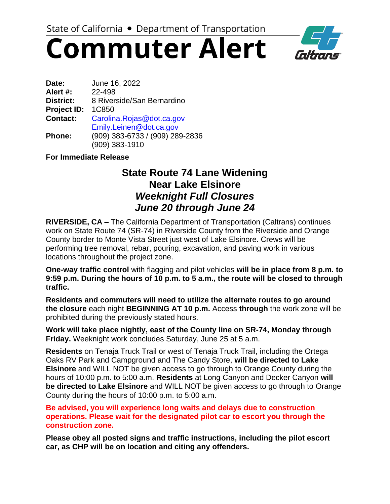# **Commuter Alert**



| Date:              | June 16, 2022                   |
|--------------------|---------------------------------|
| Alert #:           | 22-498                          |
| <b>District:</b>   | 8 Riverside/San Bernardino      |
| <b>Project ID:</b> | 1C850                           |
| <b>Contact:</b>    | Carolina.Rojas@dot.ca.gov       |
|                    | Emily.Leinen@dot.ca.gov         |
| Phone:             | (909) 383-6733 / (909) 289-2836 |
|                    | (909) 383-1910                  |

### **For Immediate Release**

### **State Route 74 Lane Widening Near Lake Elsinore**  *Weeknight Full Closures June 20 through June 24*

**RIVERSIDE, CA –** The California Department of Transportation (Caltrans) continues work on State Route 74 (SR-74) in Riverside County from the Riverside and Orange County border to Monte Vista Street just west of Lake Elsinore. Crews will be performing tree removal, rebar, pouring, excavation, and paving work in various locations throughout the project zone.

**One-way traffic control** with flagging and pilot vehicles **will be in place from 8 p.m. to 9:59 p.m. During the hours of 10 p.m. to 5 a.m., the route will be closed to through traffic.**

**Residents and commuters will need to utilize the alternate routes to go around the closure** each night **BEGINNING AT 10 p.m.** Access **through** the work zone will be prohibited during the previously stated hours.

**Work will take place nightly, east of the County line on SR-74, Monday through Friday.** Weeknight work concludes Saturday, June 25 at 5 a.m.

**Residents** on Tenaja Truck Trail or west of Tenaja Truck Trail, including the Ortega Oaks RV Park and Campground and The Candy Store, **will be directed to Lake Elsinore** and WILL NOT be given access to go through to Orange County during the hours of 10:00 p.m. to 5:00 a.m. **Residents** at Long Canyon and Decker Canyon **will be directed to Lake Elsinore** and WILL NOT be given access to go through to Orange County during the hours of 10:00 p.m. to 5:00 a.m.

**Be advised, you will experience long waits and delays due to construction operations. Please wait for the designated pilot car to escort you through the construction zone.**

**Please obey all posted signs and traffic instructions, including the pilot escort car, as CHP will be on location and citing any offenders.**